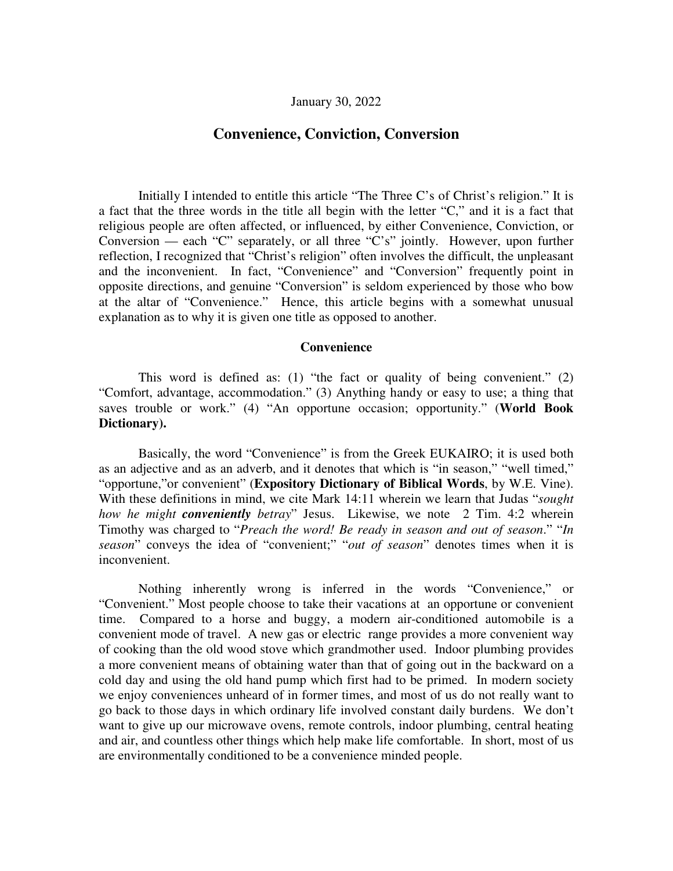# **Convenience, Conviction, Conversion**

Initially I intended to entitle this article "The Three C's of Christ's religion." It is a fact that the three words in the title all begin with the letter "C," and it is a fact that religious people are often affected, or influenced, by either Convenience, Conviction, or Conversion — each "C" separately, or all three "C's" jointly. However, upon further reflection, I recognized that "Christ's religion" often involves the difficult, the unpleasant and the inconvenient. In fact, "Convenience" and "Conversion" frequently point in opposite directions, and genuine "Conversion" is seldom experienced by those who bow at the altar of "Convenience." Hence, this article begins with a somewhat unusual explanation as to why it is given one title as opposed to another.

### **Convenience**

This word is defined as: (1) "the fact or quality of being convenient." (2) "Comfort, advantage, accommodation." (3) Anything handy or easy to use; a thing that saves trouble or work." (4) "An opportune occasion; opportunity." (**World Book Dictionary).**

Basically, the word "Convenience" is from the Greek EUKAIRO; it is used both as an adjective and as an adverb, and it denotes that which is "in season," "well timed," "opportune,"or convenient" (**Expository Dictionary of Biblical Words**, by W.E. Vine). With these definitions in mind, we cite Mark 14:11 wherein we learn that Judas "*sought how he might conveniently betray*" Jesus. Likewise, we note 2 Tim. 4:2 wherein Timothy was charged to "*Preach the word! Be ready in season and out of season*." "*In season*" conveys the idea of "convenient;" "*out of season*" denotes times when it is inconvenient.

Nothing inherently wrong is inferred in the words "Convenience," or "Convenient." Most people choose to take their vacations at an opportune or convenient time. Compared to a horse and buggy, a modern air-conditioned automobile is a convenient mode of travel. A new gas or electric range provides a more convenient way of cooking than the old wood stove which grandmother used. Indoor plumbing provides a more convenient means of obtaining water than that of going out in the backward on a cold day and using the old hand pump which first had to be primed. In modern society we enjoy conveniences unheard of in former times, and most of us do not really want to go back to those days in which ordinary life involved constant daily burdens. We don't want to give up our microwave ovens, remote controls, indoor plumbing, central heating and air, and countless other things which help make life comfortable. In short, most of us are environmentally conditioned to be a convenience minded people.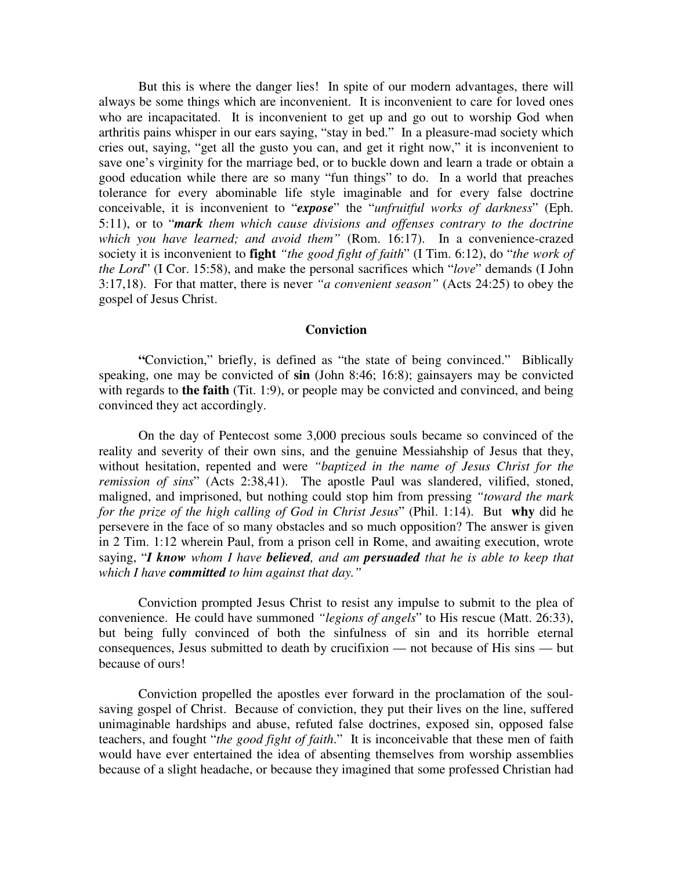But this is where the danger lies! In spite of our modern advantages, there will always be some things which are inconvenient. It is inconvenient to care for loved ones who are incapacitated. It is inconvenient to get up and go out to worship God when arthritis pains whisper in our ears saying, "stay in bed." In a pleasure-mad society which cries out, saying, "get all the gusto you can, and get it right now," it is inconvenient to save one's virginity for the marriage bed, or to buckle down and learn a trade or obtain a good education while there are so many "fun things" to do. In a world that preaches tolerance for every abominable life style imaginable and for every false doctrine conceivable, it is inconvenient to "*expose*" the "*unfruitful works of darkness*" (Eph. 5:11), or to "*mark them which cause divisions and offenses contrary to the doctrine which you have learned; and avoid them"* (Rom. 16:17). In a convenience-crazed society it is inconvenient to **fight** *"the good fight of faith*" (I Tim. 6:12), do "*the work of the Lord*" (I Cor. 15:58), and make the personal sacrifices which "*love*" demands (I John 3:17,18). For that matter, there is never *"a convenient season"* (Acts 24:25) to obey the gospel of Jesus Christ.

### **Conviction**

**"**Conviction," briefly, is defined as "the state of being convinced." Biblically speaking, one may be convicted of **sin** (John 8:46; 16:8); gainsayers may be convicted with regards to **the faith** (Tit. 1:9), or people may be convicted and convinced, and being convinced they act accordingly.

On the day of Pentecost some 3,000 precious souls became so convinced of the reality and severity of their own sins, and the genuine Messiahship of Jesus that they, without hesitation, repented and were *"baptized in the name of Jesus Christ for the remission of sins*" (Acts 2:38,41). The apostle Paul was slandered, vilified, stoned, maligned, and imprisoned, but nothing could stop him from pressing *"toward the mark for the prize of the high calling of God in Christ Jesus*" (Phil. 1:14). But **why** did he persevere in the face of so many obstacles and so much opposition? The answer is given in 2 Tim. 1:12 wherein Paul, from a prison cell in Rome, and awaiting execution, wrote saying, "*I know whom I have believed, and am persuaded that he is able to keep that which I have committed to him against that day."*

Conviction prompted Jesus Christ to resist any impulse to submit to the plea of convenience. He could have summoned *"legions of angels*" to His rescue (Matt. 26:33), but being fully convinced of both the sinfulness of sin and its horrible eternal consequences, Jesus submitted to death by crucifixion — not because of His sins — but because of ours!

Conviction propelled the apostles ever forward in the proclamation of the soulsaving gospel of Christ. Because of conviction, they put their lives on the line, suffered unimaginable hardships and abuse, refuted false doctrines, exposed sin, opposed false teachers, and fought "*the good fight of faith*." It is inconceivable that these men of faith would have ever entertained the idea of absenting themselves from worship assemblies because of a slight headache, or because they imagined that some professed Christian had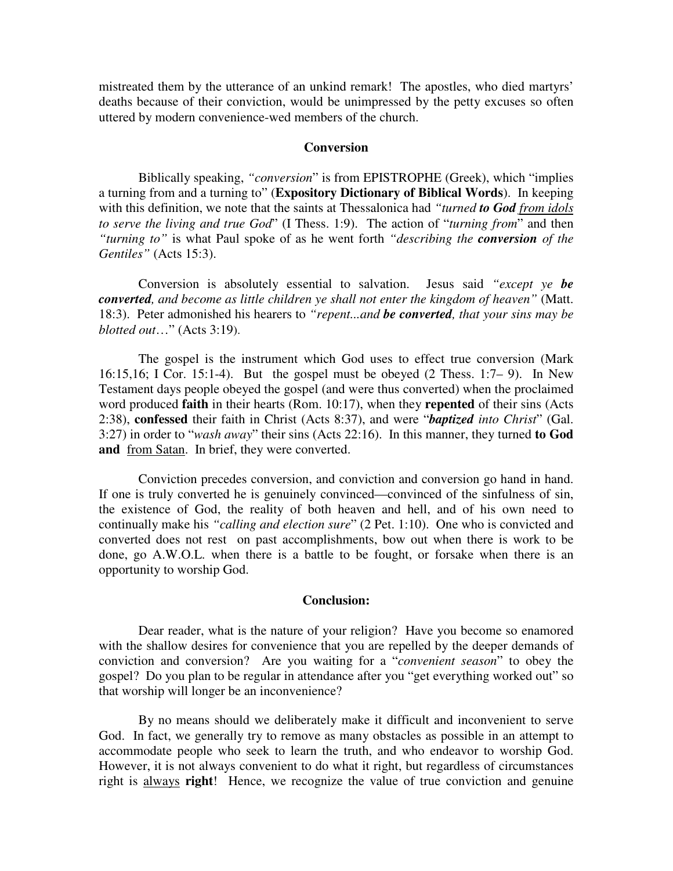mistreated them by the utterance of an unkind remark! The apostles, who died martyrs' deaths because of their conviction, would be unimpressed by the petty excuses so often uttered by modern convenience-wed members of the church.

## **Conversion**

Biblically speaking, *"conversion*" is from EPISTROPHE (Greek), which "implies a turning from and a turning to" (**Expository Dictionary of Biblical Words**). In keeping with this definition, we note that the saints at Thessalonica had *"turned to God from idols to serve the living and true God*" (I Thess. 1:9). The action of "*turning from*" and then *"turning to"* is what Paul spoke of as he went forth *"describing the conversion of the Gentiles"* (Acts 15:3).

Conversion is absolutely essential to salvation. Jesus said *"except ye be converted, and become as little children ye shall not enter the kingdom of heaven"* (Matt. 18:3). Peter admonished his hearers to *"repent...and be converted, that your sins may be blotted out*…" (Acts 3:19).

The gospel is the instrument which God uses to effect true conversion (Mark 16:15,16; I Cor. 15:1-4). But the gospel must be obeyed (2 Thess. 1:7– 9). In New Testament days people obeyed the gospel (and were thus converted) when the proclaimed word produced **faith** in their hearts (Rom. 10:17), when they **repented** of their sins (Acts 2:38), **confessed** their faith in Christ (Acts 8:37), and were "*baptized into Christ*" (Gal. 3:27) in order to "*wash away*" their sins (Acts 22:16). In this manner, they turned **to God and** from Satan. In brief, they were converted.

Conviction precedes conversion, and conviction and conversion go hand in hand. If one is truly converted he is genuinely convinced—convinced of the sinfulness of sin, the existence of God, the reality of both heaven and hell, and of his own need to continually make his *"calling and election sure*" (2 Pet. 1:10). One who is convicted and converted does not rest on past accomplishments, bow out when there is work to be done, go A.W.O.L. when there is a battle to be fought, or forsake when there is an opportunity to worship God.

## **Conclusion:**

Dear reader, what is the nature of your religion? Have you become so enamored with the shallow desires for convenience that you are repelled by the deeper demands of conviction and conversion? Are you waiting for a "*convenient season*" to obey the gospel? Do you plan to be regular in attendance after you "get everything worked out" so that worship will longer be an inconvenience?

By no means should we deliberately make it difficult and inconvenient to serve God. In fact, we generally try to remove as many obstacles as possible in an attempt to accommodate people who seek to learn the truth, and who endeavor to worship God. However, it is not always convenient to do what it right, but regardless of circumstances right is always **right**! Hence, we recognize the value of true conviction and genuine